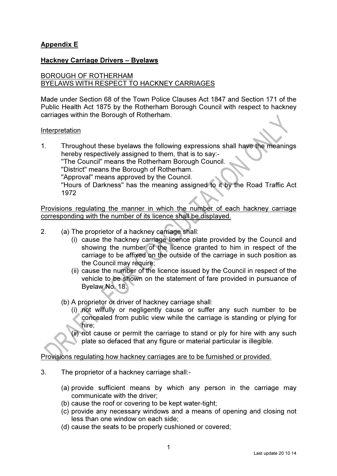# Appendix E

## Hackney Carriage Drivers – Byelaws

# BOROUGH OF ROTHERHAM BYELAWS WITH RESPECT TO HACKNEY CARRIAGES

Made under Section 68 of the Town Police Clauses Act 1847 and Section 171 of the Public Health Act 1875 by the Rotherham Borough Council with respect to hackney carriages within the Borough of Rotherham.

#### Interpretation

1. Throughout these byelaws the following expressions shall have the meanings hereby respectively assigned to them, that is to say:- "The Council" means the Rotherham Borough Council. "District" means the Borough of Rotherham. "Approval" means approved by the Council. "Hours of Darkness" has the meaning assigned to it by the Road Traffic Act 1972

Provisions regulating the manner in which the number of each hackney carriage corresponding with the number of its licence shall be displayed.

- 2. (a) The proprietor of a hackney carriage shall:
	- (i) cause the hackney carriage licence plate provided by the Council and showing the number of the licence granted to him in respect of the carriage to be affixed on the outside of the carriage in such position as the Council may require;
	- (ii) cause the number of the licence issued by the Council in respect of the vehicle to be shown on the statement of fare provided in pursuance of Byelaw No. 18.
	- (b) A proprietor or driver of hackney carriage shall:
		- (i) not wilfully or negligently cause or suffer any such number to be concealed from public view while the carriage is standing or plying for hire;

 (ii) not cause or permit the carriage to stand or ply for hire with any such plate so defaced that any figure or material particular is illegible.

Provisions regulating how hackney carriages are to be furnished or provided.

- 3. The proprietor of a hackney carriage shall:-
	- (a) provide sufficient means by which any person in the carriage may communicate with the driver;
	- (b) cause the roof or covering to be kept water-tight;
	- (c) provide any necessary windows and a means of opening and closing not less than one window on each side;
	- (d) cause the seats to be properly cushioned or covered;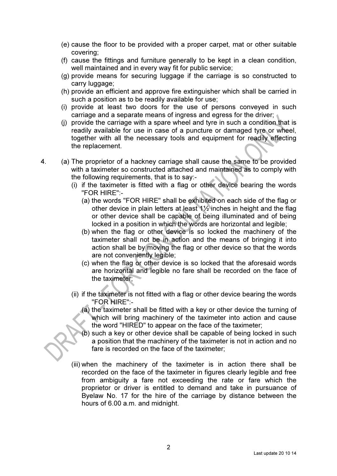- (e) cause the floor to be provided with a proper carpet, mat or other suitable covering;
- (f) cause the fittings and furniture generally to be kept in a clean condition, well maintained and in every way fit for public service;
- (g) provide means for securing luggage if the carriage is so constructed to carry luggage;
- (h) provide an efficient and approve fire extinguisher which shall be carried in such a position as to be readily available for use;
- (i) provide at least two doors for the use of persons conveyed in such carriage and a separate means of ingress and egress for the driver;
- (j) provide the carriage with a spare wheel and tyre in such a condition that is readily available for use in case of a puncture or damaged tyre or wheel, together with all the necessary tools and equipment for readily effecting the replacement.
- 4. (a) The proprietor of a hackney carriage shall cause the same to be provided with a taximeter so constructed attached and maintained as to comply with the following requirements, that is to say:-
	- (i) if the taximeter is fitted with a flag or other device bearing the words "FOR HIRE":-
		- (a) the words "FOR HIRE" shall be exhibited on each side of the flag or other device in plain letters at least  $1\frac{1}{2}$  inches in height and the flag or other device shall be capable of being illuminated and of being locked in a position in which the words are horizontal and legible;
		- (b) when the flag or other device is so locked the machinery of the taximeter shall not be in action and the means of bringing it into action shall be by moving the flag or other device so that the words are not conveniently legible;
		- (c) when the flag or other device is so locked that the aforesaid words are horizontal and legible no fare shall be recorded on the face of the taximeter;
	- (ii) if the taximeter is not fitted with a flag or other device bearing the words "FOR HIRE":-
		- (a) the taximeter shall be fitted with a key or other device the turning of which will bring machinery of the taximeter into action and cause the word "HIRED" to appear on the face of the taximeter;
		- (b) such a key or other device shall be capable of being locked in such a position that the machinery of the taximeter is not in action and no fare is recorded on the face of the taximeter;
	- (iii) when the machinery of the taximeter is in action there shall be recorded on the face of the taximeter in figures clearly legible and free from ambiguity a fare not exceeding the rate or fare which the proprietor or driver is entitled to demand and take in pursuance of Byelaw No. 17 for the hire of the carriage by distance between the hours of 6.00 a.m. and midnight.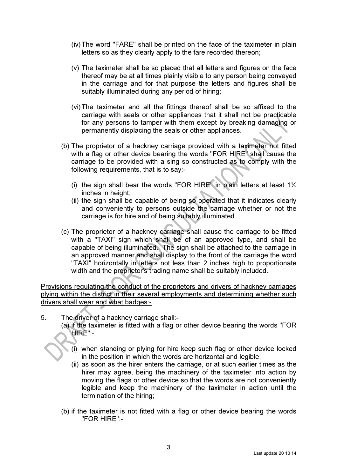- (iv) The word "FARE" shall be printed on the face of the taximeter in plain letters so as they clearly apply to the fare recorded thereon;
- (v) The taximeter shall be so placed that all letters and figures on the face thereof may be at all times plainly visible to any person being conveyed in the carriage and for that purpose the letters and figures shall be suitably illuminated during any period of hiring;
- (vi) The taximeter and all the fittings thereof shall be so affixed to the carriage with seals or other appliances that it shall not be practicable for any persons to tamper with them except by breaking damaging or permanently displacing the seals or other appliances.
- (b) The proprietor of a hackney carriage provided with a taximeter not fitted with a flag or other device bearing the words "FOR HIRE" shall cause the carriage to be provided with a sing so constructed as to comply with the following requirements, that is to say:-
	- (i) the sign shall bear the words "FOR HIRE" in plain letters at least  $1\frac{1}{2}$ inches in height;
	- (ii) the sign shall be capable of being so operated that it indicates clearly and conveniently to persons outside the carriage whether or not the carriage is for hire and of being suitably illuminated.
- (c) The proprietor of a hackney carriage shall cause the carriage to be fitted with a "TAXI" sign which shall be of an approved type, and shall be capable of being illuminated. The sign shall be attached to the carriage in an approved manner and shall display to the front of the carriage the word "TAXI" horizontally in letters not less than 2 inches high to proportionate width and the proprietor's trading name shall be suitably included.

Provisions regulating the conduct of the proprietors and drivers of hackney carriages plying within the district in their several employments and determining whether such drivers shall wear and what badges:-

5. The driver of a hackney carriage shall:-

 (a) if the taximeter is fitted with a flag or other device bearing the words "FOR HIRE":-

- (i) when standing or plying for hire keep such flag or other device locked in the position in which the words are horizontal and legible;
- (ii) as soon as the hirer enters the carriage, or at such earlier times as the hirer may agree, being the machinery of the taximeter into action by moving the flags or other device so that the words are not conveniently legible and keep the machinery of the taximeter in action until the termination of the hiring;
- (b) if the taximeter is not fitted with a flag or other device bearing the words "FOR HIRE":-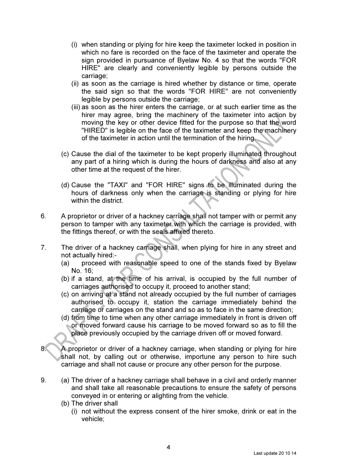- (i) when standing or plying for hire keep the taximeter locked in position in which no fare is recorded on the face of the taximeter and operate the sign provided in pursuance of Byelaw No. 4 so that the words "FOR HIRE" are clearly and conveniently legible by persons outside the carriage;
- (ii) as soon as the carriage is hired whether by distance or time, operate the said sign so that the words "FOR HIRE" are not conveniently legible by persons outside the carriage;
- (iii) as soon as the hirer enters the carriage, or at such earlier time as the hirer may agree, bring the machinery of the taximeter into action by moving the key or other device fitted for the purpose so that the word "HIRED" is legible on the face of the taximeter and keep the machinery of the taximeter in action until the termination of the hiring.
- (c) Cause the dial of the taximeter to be kept properly illuminated throughout any part of a hiring which is during the hours of darkness and also at any other time at the request of the hirer.
- (d) Cause the "TAXI" and "FOR HIRE" signs to be illuminated during the hours of darkness only when the carriage is standing or plying for hire within the district.
- 6. A proprietor or driver of a hackney carriage shall not tamper with or permit any person to tamper with any taximeter with which the carriage is provided, with the fittings thereof, or with the seals affixed thereto.
- 7. The driver of a hackney carriage shall, when plying for hire in any street and not actually hired:-
	- (a) proceed with reasonable speed to one of the stands fixed by Byelaw No. 16;
	- (b) if a stand, at the time of his arrival, is occupied by the full number of carriages authorised to occupy it, proceed to another stand;
	- (c) on arriving at a stand not already occupied by the full number of carriages authorised to occupy it, station the carriage immediately behind the carriage or carriages on the stand and so as to face in the same direction;
	- (d) from time to time when any other carriage immediately in front is driven off or moved forward cause his carriage to be moved forward so as to fill the place previously occupied by the carriage driven off or moved forward.
- 8. A proprietor or driver of a hackney carriage, when standing or plying for hire shall not, by calling out or otherwise, importune any person to hire such carriage and shall not cause or procure any other person for the purpose.
- 9. (a) The driver of a hackney carriage shall behave in a civil and orderly manner and shall take all reasonable precautions to ensure the safety of persons conveyed in or entering or alighting from the vehicle.
	- (b) The driver shall
		- (i) not without the express consent of the hirer smoke, drink or eat in the vehicle;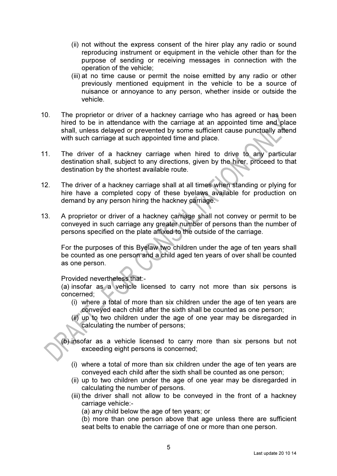- (ii) not without the express consent of the hirer play any radio or sound reproducing instrument or equipment in the vehicle other than for the purpose of sending or receiving messages in connection with the operation of the vehicle;
- (iii) at no time cause or permit the noise emitted by any radio or other previously mentioned equipment in the vehicle to be a source of nuisance or annoyance to any person, whether inside or outside the vehicle.
- 10. The proprietor or driver of a hackney carriage who has agreed or has been hired to be in attendance with the carriage at an appointed time and place shall, unless delayed or prevented by some sufficient cause punctually attend with such carriage at such appointed time and place.
- 11. The driver of a hackney carriage when hired to drive to any particular destination shall, subject to any directions, given by the hirer, proceed to that destination by the shortest available route.
- 12. The driver of a hackney carriage shall at all times when standing or plying for hire have a completed copy of these byelaws available for production on demand by any person hiring the hackney carriage.
- 13. A proprietor or driver of a hackney carriage shall not convey or permit to be conveyed in such carriage any greater number of persons than the number of persons specified on the plate affixed to the outside of the carriage.

 For the purposes of this Byelaw two children under the age of ten years shall be counted as one person and a child aged ten years of over shall be counted as one person.

Provided nevertheless that:-

 (a) insofar as a vehicle licensed to carry not more than six persons is concerned;

- (i) where a total of more than six children under the age of ten years are conveyed each child after the sixth shall be counted as one person;
- (ii) up to two children under the age of one year may be disregarded in calculating the number of persons;
- (b) insofar as a vehicle licensed to carry more than six persons but not exceeding eight persons is concerned;
	- (i) where a total of more than six children under the age of ten years are conveyed each child after the sixth shall be counted as one person;
	- (ii) up to two children under the age of one year may be disregarded in calculating the number of persons.
	- (iii) the driver shall not allow to be conveyed in the front of a hackney carriage vehicle:-
		- (a) any child below the age of ten years; or

 (b) more than one person above that age unless there are sufficient seat belts to enable the carriage of one or more than one person.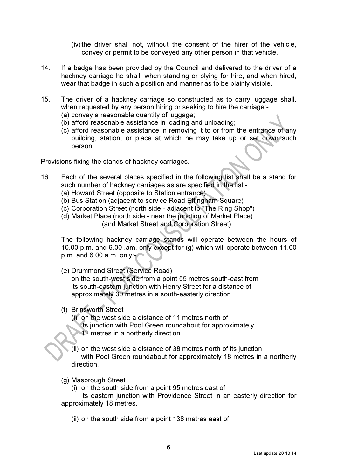(iv) the driver shall not, without the consent of the hirer of the vehicle, convey or permit to be conveyed any other person in that vehicle.

- 14. If a badge has been provided by the Council and delivered to the driver of a hackney carriage he shall, when standing or plying for hire, and when hired, wear that badge in such a position and manner as to be plainly visible.
- 15. The driver of a hackney carriage so constructed as to carry luggage shall, when requested by any person hiring or seeking to hire the carriage:- (a) convey a reasonable quantity of luggage;
	- (b) afford reasonable assistance in loading and unloading;
	- (c) afford reasonable assistance in removing it to or from the entrance of any building, station, or place at which he may take up or set down such person.

#### Provisions fixing the stands of hackney carriages.

- 16. Each of the several places specified in the following list shall be a stand for such number of hackney carriages as are specified in the list:-
	- (a) Howard Street (opposite to Station entrance)
	- (b) Bus Station (adjacent to service Road Effingham Square)
	- (c) Corporation Street (north side adjacent to "The Ring Shop")
	- (d) Market Place (north side near the junction of Market Place) (and Market Street and Corporation Street)

 The following hackney carriage stands will operate between the hours of 10.00 p.m. and 6.00 .am. only except for (g) which will operate between 11.00 p.m. and 6.00 a.m. only:-

(e) Drummond Street (Service Road)

 on the south-west side from a point 55 metres south-east from its south-eastern junction with Henry Street for a distance of approximately 30 metres in a south-easterly direction

- (f) Brinsworth Street
	- (i) on the west side a distance of 11 metres north of
		- its junction with Pool Green roundabout for approximately 12 metres in a northerly direction.
	- (ii) on the west side a distance of 38 metres north of its junction with Pool Green roundabout for approximately 18 metres in a northerly direction.
- (g) Masbrough Street
	- (i) on the south side from a point 95 metres east of
- its eastern junction with Providence Street in an easterly direction for approximately 18 metres.
	- (ii) on the south side from a point 138 metres east of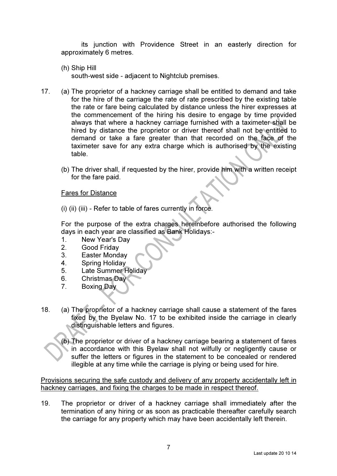its junction with Providence Street in an easterly direction for approximately 6 metres.

(h) Ship Hill

south-west side - adjacent to Nightclub premises.

- 17. (a) The proprietor of a hackney carriage shall be entitled to demand and take for the hire of the carriage the rate of rate prescribed by the existing table the rate or fare being calculated by distance unless the hirer expresses at the commencement of the hiring his desire to engage by time provided always that where a hackney carriage furnished with a taximeter shall be hired by distance the proprietor or driver thereof shall not be entitled to demand or take a fare greater than that recorded on the face of the taximeter save for any extra charge which is authorised by the existing table.
	- (b) The driver shall, if requested by the hirer, provide him with a written receipt for the fare paid.

## Fares for Distance

(i) (ii) (iii) - Refer to table of fares currently in force.

For the purpose of the extra charges hereinbefore authorised the following days in each year are classified as Bank Holidays:-

- 1. New Year's Day
- 2. Good Friday
- 3. Easter Monday
- 4. Spring Holiday
- 5. Late Summer Holiday
- 6. Christmas Day
- 7. Boxing Day
- 18. (a) The proprietor of a hackney carriage shall cause a statement of the fares fixed by the Byelaw No. 17 to be exhibited inside the carriage in clearly distinguishable letters and figures.

 (b) The proprietor or driver of a hackney carriage bearing a statement of fares in accordance with this Byelaw shall not wilfully or negligently cause or suffer the letters or figures in the statement to be concealed or rendered illegible at any time while the carriage is plying or being used for hire.

Provisions securing the safe custody and delivery of any property accidentally left in hackney carriages, and fixing the charges to be made in respect thereof.

19. The proprietor or driver of a hackney carriage shall immediately after the termination of any hiring or as soon as practicable thereafter carefully search the carriage for any property which may have been accidentally left therein.